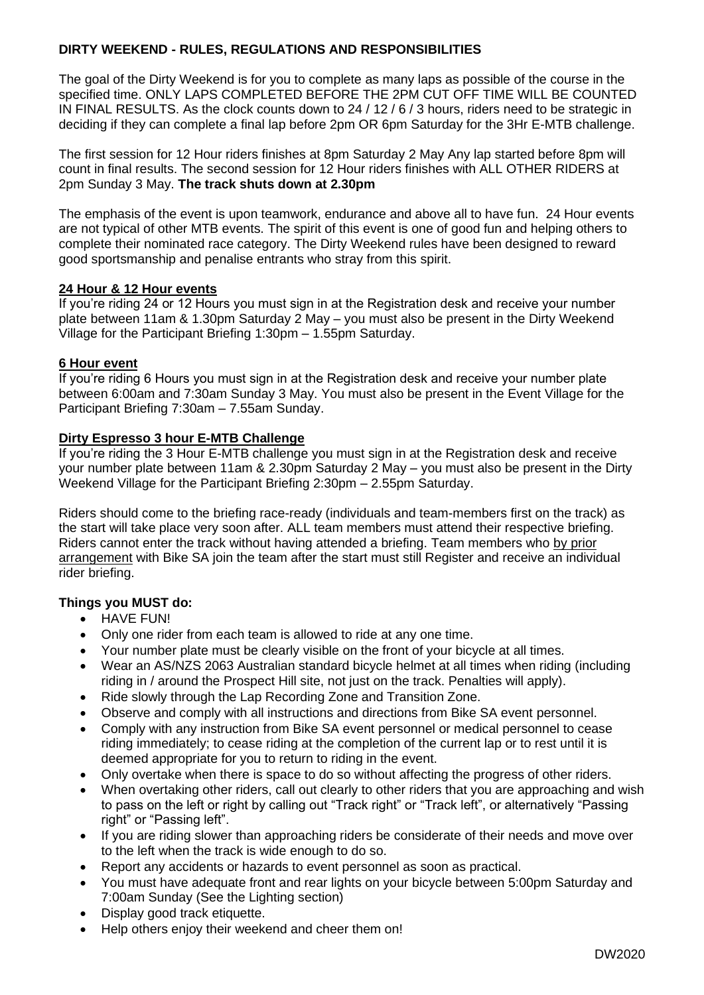## **DIRTY WEEKEND - RULES, REGULATIONS AND RESPONSIBILITIES**

The goal of the Dirty Weekend is for you to complete as many laps as possible of the course in the specified time. ONLY LAPS COMPLETED BEFORE THE 2PM CUT OFF TIME WILL BE COUNTED IN FINAL RESULTS. As the clock counts down to 24 / 12 / 6 / 3 hours, riders need to be strategic in deciding if they can complete a final lap before 2pm OR 6pm Saturday for the 3Hr E-MTB challenge.

The first session for 12 Hour riders finishes at 8pm Saturday 2 May Any lap started before 8pm will count in final results. The second session for 12 Hour riders finishes with ALL OTHER RIDERS at 2pm Sunday 3 May. **The track shuts down at 2.30pm**

The emphasis of the event is upon teamwork, endurance and above all to have fun. 24 Hour events are not typical of other MTB events. The spirit of this event is one of good fun and helping others to complete their nominated race category. The Dirty Weekend rules have been designed to reward good sportsmanship and penalise entrants who stray from this spirit.

#### **24 Hour & 12 Hour events**

If you're riding 24 or 12 Hours you must sign in at the Registration desk and receive your number plate between 11am & 1.30pm Saturday 2 May – you must also be present in the Dirty Weekend Village for the Participant Briefing 1:30pm – 1.55pm Saturday.

#### **6 Hour event**

If you're riding 6 Hours you must sign in at the Registration desk and receive your number plate between 6:00am and 7:30am Sunday 3 May. You must also be present in the Event Village for the Participant Briefing 7:30am – 7.55am Sunday.

## **Dirty Espresso 3 hour E-MTB Challenge**

If you're riding the 3 Hour E-MTB challenge you must sign in at the Registration desk and receive your number plate between 11am & 2.30pm Saturday 2 May – you must also be present in the Dirty Weekend Village for the Participant Briefing 2:30pm – 2.55pm Saturday.

Riders should come to the briefing race-ready (individuals and team-members first on the track) as the start will take place very soon after. ALL team members must attend their respective briefing. Riders cannot enter the track without having attended a briefing. Team members who by prior arrangement with Bike SA join the team after the start must still Register and receive an individual rider briefing.

## **Things you MUST do:**

- HAVE FUN!
- Only one rider from each team is allowed to ride at any one time.
- Your number plate must be clearly visible on the front of your bicycle at all times.
- Wear an AS/NZS 2063 Australian standard bicycle helmet at all times when riding (including riding in / around the Prospect Hill site, not just on the track. Penalties will apply).
- Ride slowly through the Lap Recording Zone and Transition Zone.
- Observe and comply with all instructions and directions from Bike SA event personnel.
- Comply with any instruction from Bike SA event personnel or medical personnel to cease riding immediately; to cease riding at the completion of the current lap or to rest until it is deemed appropriate for you to return to riding in the event.
- Only overtake when there is space to do so without affecting the progress of other riders.
- When overtaking other riders, call out clearly to other riders that you are approaching and wish to pass on the left or right by calling out "Track right" or "Track left", or alternatively "Passing right" or "Passing left".
- If you are riding slower than approaching riders be considerate of their needs and move over to the left when the track is wide enough to do so.
- Report any accidents or hazards to event personnel as soon as practical.
- You must have adequate front and rear lights on your bicycle between 5:00pm Saturday and 7:00am Sunday (See the Lighting section)
- Display good track etiquette.
- Help others enjoy their weekend and cheer them on!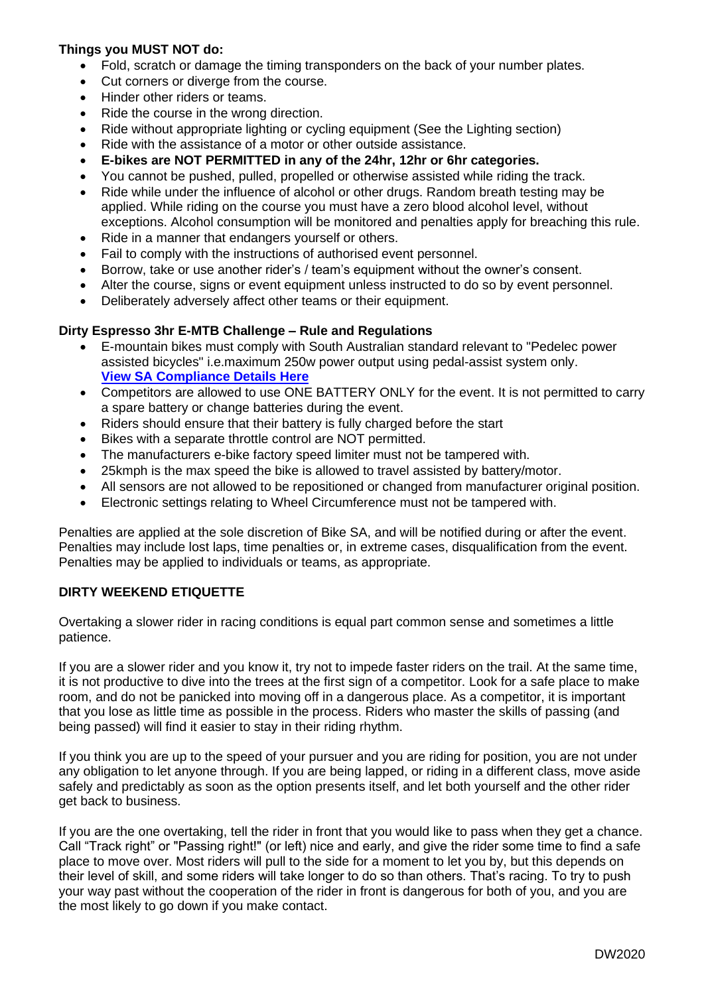## **Things you MUST NOT do:**

- Fold, scratch or damage the timing transponders on the back of your number plates.
- Cut corners or diverge from the course.
- Hinder other riders or teams.
- Ride the course in the wrong direction.
- Ride without appropriate lighting or cycling equipment (See the Lighting section)
- Ride with the assistance of a motor or other outside assistance.
- **E-bikes are NOT PERMITTED in any of the 24hr, 12hr or 6hr categories.**
- You cannot be pushed, pulled, propelled or otherwise assisted while riding the track.
- Ride while under the influence of alcohol or other drugs. Random breath testing may be applied. While riding on the course you must have a zero blood alcohol level, without exceptions. Alcohol consumption will be monitored and penalties apply for breaching this rule.
- Ride in a manner that endangers yourself or others.
- Fail to comply with the instructions of authorised event personnel.
- Borrow, take or use another rider's / team's equipment without the owner's consent.
- Alter the course, signs or event equipment unless instructed to do so by event personnel.
- Deliberately adversely affect other teams or their equipment.

## **Dirty Espresso 3hr E-MTB Challenge – Rule and Regulations**

- E-mountain bikes must comply with South Australian standard relevant to "Pedelec power assisted bicycles" i.e.maximum 250w power output using pedal-assist system only. **View SA [Compliance](https://www.sa.gov.au/topics/driving-and-transport/other-forms-of-transport/cycling/riding-a-power-assisted-bicycle) Details Here**
- Competitors are allowed to use ONE BATTERY ONLY for the event. It is not permitted to carry a spare battery or change batteries during the event.
- Riders should ensure that their battery is fully charged before the start
- Bikes with a separate throttle control are NOT permitted.
- The manufacturers e-bike factory speed limiter must not be tampered with.
- 25kmph is the max speed the bike is allowed to travel assisted by battery/motor.
- All sensors are not allowed to be repositioned or changed from manufacturer original position.
- Electronic settings relating to Wheel Circumference must not be tampered with.

Penalties are applied at the sole discretion of Bike SA, and will be notified during or after the event. Penalties may include lost laps, time penalties or, in extreme cases, disqualification from the event. Penalties may be applied to individuals or teams, as appropriate.

## **DIRTY WEEKEND ETIQUETTE**

Overtaking a slower rider in racing conditions is equal part common sense and sometimes a little patience.

If you are a slower rider and you know it, try not to impede faster riders on the trail. At the same time, it is not productive to dive into the trees at the first sign of a competitor. Look for a safe place to make room, and do not be panicked into moving off in a dangerous place. As a competitor, it is important that you lose as little time as possible in the process. Riders who master the skills of passing (and being passed) will find it easier to stay in their riding rhythm.

If you think you are up to the speed of your pursuer and you are riding for position, you are not under any obligation to let anyone through. If you are being lapped, or riding in a different class, move aside safely and predictably as soon as the option presents itself, and let both yourself and the other rider get back to business.

If you are the one overtaking, tell the rider in front that you would like to pass when they get a chance. Call "Track right" or "Passing right!" (or left) nice and early, and give the rider some time to find a safe place to move over. Most riders will pull to the side for a moment to let you by, but this depends on their level of skill, and some riders will take longer to do so than others. That's racing. To try to push your way past without the cooperation of the rider in front is dangerous for both of you, and you are the most likely to go down if you make contact.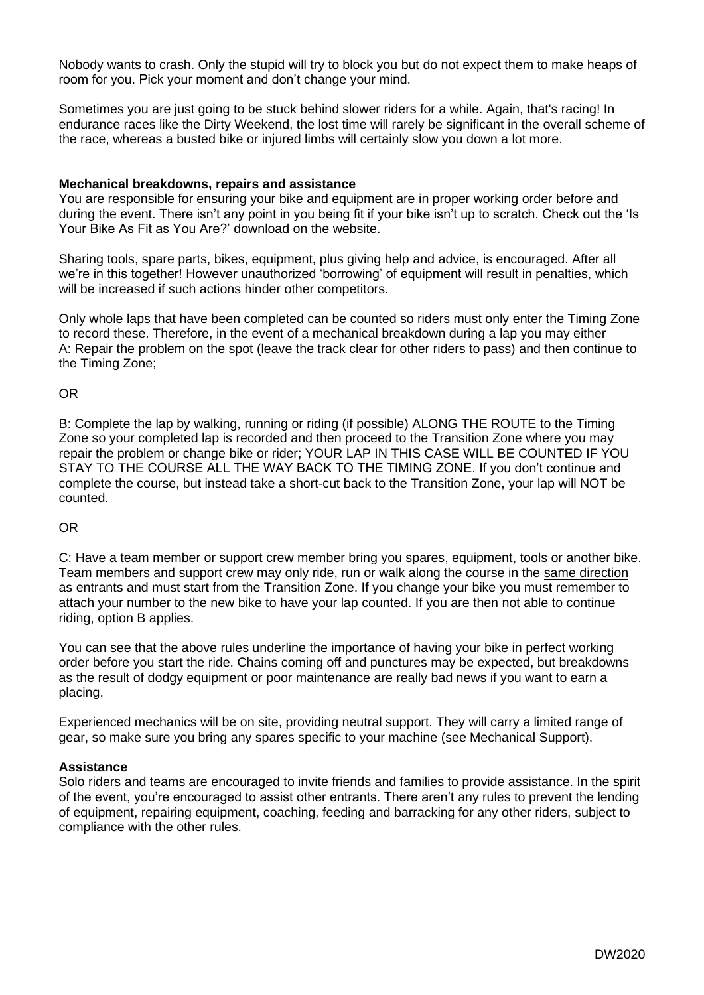Nobody wants to crash. Only the stupid will try to block you but do not expect them to make heaps of room for you. Pick your moment and don't change your mind.

Sometimes you are just going to be stuck behind slower riders for a while. Again, that's racing! In endurance races like the Dirty Weekend, the lost time will rarely be significant in the overall scheme of the race, whereas a busted bike or injured limbs will certainly slow you down a lot more.

#### **Mechanical breakdowns, repairs and assistance**

You are responsible for ensuring your bike and equipment are in proper working order before and during the event. There isn't any point in you being fit if your bike isn't up to scratch. Check out the 'Is Your Bike As Fit as You Are?' download on the website.

Sharing tools, spare parts, bikes, equipment, plus giving help and advice, is encouraged. After all we're in this together! However unauthorized 'borrowing' of equipment will result in penalties, which will be increased if such actions hinder other competitors.

Only whole laps that have been completed can be counted so riders must only enter the Timing Zone to record these. Therefore, in the event of a mechanical breakdown during a lap you may either A: Repair the problem on the spot (leave the track clear for other riders to pass) and then continue to the Timing Zone;

OR

B: Complete the lap by walking, running or riding (if possible) ALONG THE ROUTE to the Timing Zone so your completed lap is recorded and then proceed to the Transition Zone where you may repair the problem or change bike or rider; YOUR LAP IN THIS CASE WILL BE COUNTED IF YOU STAY TO THE COURSE ALL THE WAY BACK TO THE TIMING ZONE. If you don't continue and complete the course, but instead take a short-cut back to the Transition Zone, your lap will NOT be counted.

#### OR

C: Have a team member or support crew member bring you spares, equipment, tools or another bike. Team members and support crew may only ride, run or walk along the course in the same direction as entrants and must start from the Transition Zone. If you change your bike you must remember to attach your number to the new bike to have your lap counted. If you are then not able to continue riding, option B applies.

You can see that the above rules underline the importance of having your bike in perfect working order before you start the ride. Chains coming off and punctures may be expected, but breakdowns as the result of dodgy equipment or poor maintenance are really bad news if you want to earn a placing.

Experienced mechanics will be on site, providing neutral support. They will carry a limited range of gear, so make sure you bring any spares specific to your machine (see Mechanical Support).

#### **Assistance**

Solo riders and teams are encouraged to invite friends and families to provide assistance. In the spirit of the event, you're encouraged to assist other entrants. There aren't any rules to prevent the lending of equipment, repairing equipment, coaching, feeding and barracking for any other riders, subject to compliance with the other rules.